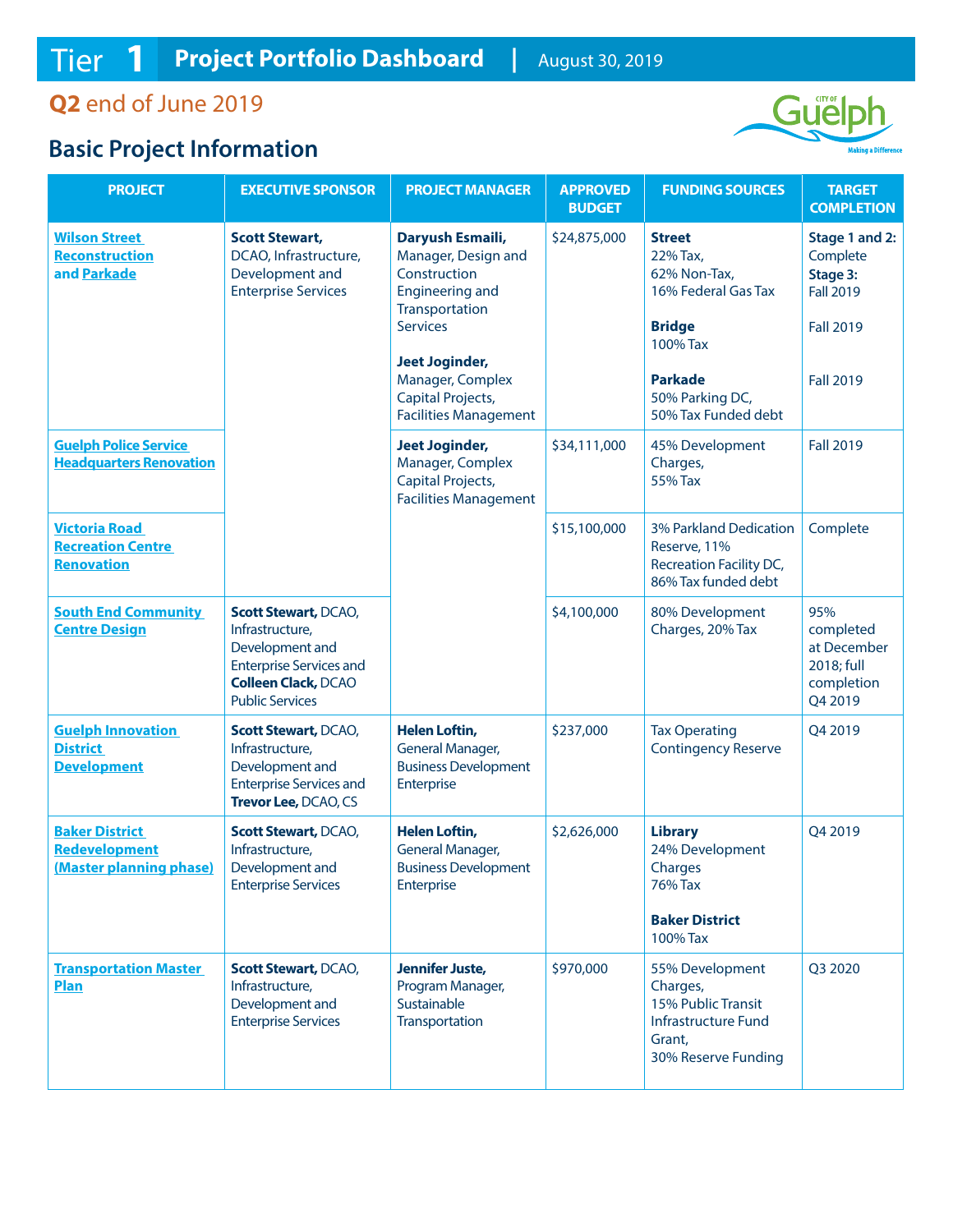**Q2** end of June 2019

## **Basic Project Information**



| <b>PROJECT</b>                                                    | <b>EXECUTIVE SPONSOR</b>                                                                                                                                    | <b>PROJECT MANAGER</b>                                                                                                                                                                   | <b>APPROVED</b><br><b>BUDGET</b> | <b>FUNDING SOURCES</b>                                                                                                             | <b>TARGET</b><br><b>COMPLETION</b>                                                                 |
|-------------------------------------------------------------------|-------------------------------------------------------------------------------------------------------------------------------------------------------------|------------------------------------------------------------------------------------------------------------------------------------------------------------------------------------------|----------------------------------|------------------------------------------------------------------------------------------------------------------------------------|----------------------------------------------------------------------------------------------------|
| <b>Wilson Street</b><br><b>Reconstruction</b><br>and Parkade      | <b>Scott Stewart,</b><br>DCAO, Infrastructure,<br>Development and<br><b>Enterprise Services</b>                                                             | Daryush Esmaili,<br>Manager, Design and<br>Construction<br><b>Engineering and</b><br>Transportation<br><b>Services</b><br><b>Jeet Joginder,</b><br>Manager, Complex<br>Capital Projects, | \$24,875,000                     | <b>Street</b><br>22% Tax,<br>62% Non-Tax,<br>16% Federal Gas Tax<br><b>Bridge</b><br>100% Tax<br><b>Parkade</b><br>50% Parking DC, | Stage 1 and 2:<br>Complete<br>Stage 3:<br><b>Fall 2019</b><br><b>Fall 2019</b><br><b>Fall 2019</b> |
|                                                                   |                                                                                                                                                             | <b>Facilities Management</b>                                                                                                                                                             |                                  | 50% Tax Funded debt                                                                                                                |                                                                                                    |
| <b>Guelph Police Service</b><br><b>Headquarters Renovation</b>    |                                                                                                                                                             | <b>Jeet Joginder,</b><br>Manager, Complex<br>Capital Projects,<br><b>Facilities Management</b>                                                                                           | \$34,111,000                     | 45% Development<br>Charges,<br>55% Tax                                                                                             | <b>Fall 2019</b>                                                                                   |
| <b>Victoria Road</b><br><b>Recreation Centre</b><br>Renovation    |                                                                                                                                                             |                                                                                                                                                                                          | \$15,100,000                     | 3% Parkland Dedication<br>Reserve, 11%<br>Recreation Facility DC,<br>86% Tax funded debt                                           | Complete                                                                                           |
| <b>South End Community</b><br><b>Centre Design</b>                | <b>Scott Stewart, DCAO,</b><br>Infrastructure,<br>Development and<br><b>Enterprise Services and</b><br><b>Colleen Clack, DCAO</b><br><b>Public Services</b> |                                                                                                                                                                                          | \$4,100,000                      | 80% Development<br>Charges, 20% Tax                                                                                                | 95%<br>completed<br>at December<br>2018; full<br>completion<br>Q4 2019                             |
| <b>Guelph Innovation</b><br><b>District</b><br><b>Development</b> | <b>Scott Stewart, DCAO,</b><br>Infrastructure,<br>Development and<br><b>Enterprise Services and</b><br>Trevor Lee, DCAO, CS                                 | <b>Helen Loftin,</b><br><b>General Manager,</b><br><b>Business Development</b><br>Enterprise                                                                                             | \$237,000                        | <b>Tax Operating</b><br><b>Contingency Reserve</b>                                                                                 | Q4 2019                                                                                            |
| <b>Baker District</b><br>Redevelopment<br>(Master planning phase) | <b>Scott Stewart, DCAO,</b><br>Infrastructure,<br>Development and<br><b>Enterprise Services</b>                                                             | <b>Helen Loftin,</b><br>General Manager,<br><b>Business Development</b><br>Enterprise                                                                                                    | \$2,626,000                      | <b>Library</b><br>24% Development<br>Charges<br>76% Tax<br><b>Baker District</b><br>100% Tax                                       | Q4 2019                                                                                            |
| <b>Transportation Master</b><br><b>Plan</b>                       | <b>Scott Stewart, DCAO,</b><br>Infrastructure,<br>Development and<br><b>Enterprise Services</b>                                                             | <b>Jennifer Juste,</b><br>Program Manager,<br>Sustainable<br>Transportation                                                                                                              | \$970,000                        | 55% Development<br>Charges,<br>15% Public Transit<br>Infrastructure Fund<br>Grant,<br>30% Reserve Funding                          | Q3 2020                                                                                            |